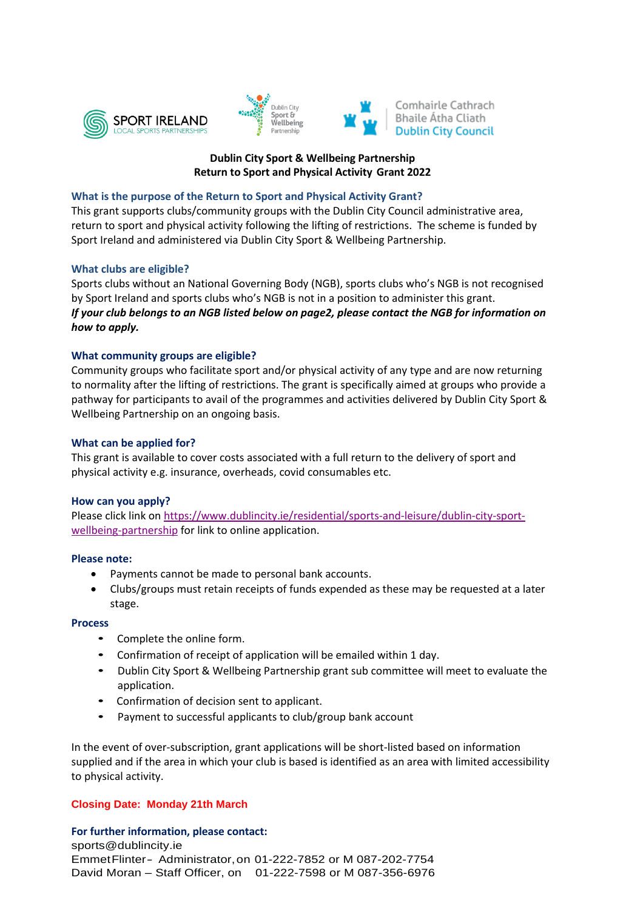





## **Dublin City Sport & Wellbeing Partnership Return to Sport and Physical Activity Grant 2022**

#### **What is the purpose of the Return to Sport and Physical Activity Grant?**

This grant supports clubs/community groups with the Dublin City Council administrative area, return to sport and physical activity following the lifting of restrictions. The scheme is funded by Sport Ireland and administered via Dublin City Sport & Wellbeing Partnership.

## **What clubs are eligible?**

Sports clubs without an National Governing Body (NGB), sports clubs who's NGB is not recognised by Sport Ireland and sports clubs who's NGB is not in a position to administer this grant. *If your club belongs to an NGB listed below on page2, please contact the NGB for information on how to apply.*

## **What community groups are eligible?**

Community groups who facilitate sport and/or physical activity of any type and are now returning to normality after the lifting of restrictions. The grant is specifically aimed at groups who provide a pathway for participants to avail of the programmes and activities delivered by Dublin City Sport & Wellbeing Partnership on an ongoing basis.

## **What can be applied for?**

This grant is available to cover costs associated with a full return to the delivery of sport and physical activity e.g. insurance, overheads, covid consumables etc.

#### **How can you apply?**

Please click link o[n https://www.dublincity.ie/residential/sports-and-leisure/dublin-city-sport](https://www.dublincity.ie/residential/sports-and-leisure/dublin-city-sport-wellbeing-partnership)[wellbeing-partnership](https://www.dublincity.ie/residential/sports-and-leisure/dublin-city-sport-wellbeing-partnership) for link to online application.

#### **Please note:**

- Payments cannot be made to personal bank accounts.
- Clubs/groups must retain receipts of funds expended as these may be requested at a later stage.

#### **Process**

- Complete the online form.
- Confirmation of receipt of application will be emailed within 1 day.
- Dublin City Sport & Wellbeing Partnership grant sub committee will meet to evaluate the application.
- Confirmation of decision sent to applicant.
- Payment to successful applicants to club/group bank account

In the event of over-subscription, grant applications will be short-listed based on information supplied and if the area in which your club is based is identified as an area with limited accessibility to physical activity.

# **Closing Date: Monday 21th March**

**For further information, please contact:**

sports@dublincity.ie EmmetFlinter- Administrator,on 01-222-7852 or M 087-202-7754 David Moran – Staff Officer, on 01-222-7598 or M 087-356-6976